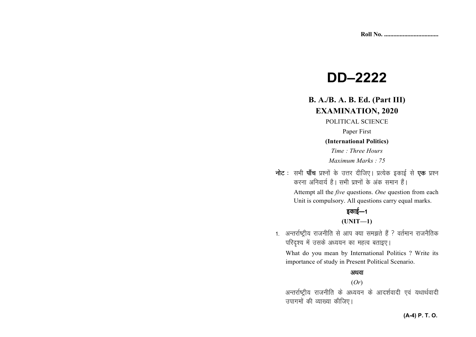# **DD–2222**

## **B. A./B. A. B. Ed. (Part III) EXAMINATION, 2020**

POLITICAL SCIENCE

Paper First

#### **(International Politics)**

*Time : Three Hours Maximum Marks : 75* 

नोट : सभी पाँच प्रश्नों के उत्तर दीजिए। प्रत्येक इकाई से **एक** प्रश्न करना अनिवार्य है। सभी प्रश्नों के अंक समान हैं।

> Attempt all the *five* questions. *One* question from each Unit is compulsory. All questions carry equal marks.

# इकाई—1

#### **(UNIT—1)**

1. अन्तर्राष्ट्रीय राजनीति से आप क्या समझते हैं ? वर्तमान राजनैतिक परिदृश्य में उसके अध्ययन का महत्व बताइए।

What do you mean by International Politics ? Write its importance of study in Present Political Scenario.

#### अथवा

#### (*Or*)

अन्तर्राष्ट्रीय राजनीति के अध्ययन के आदर्शवादी एवं यथार्थवादी उपागमों की व्याख्या कीजिए।

#### **(A-4) P. T. O.**